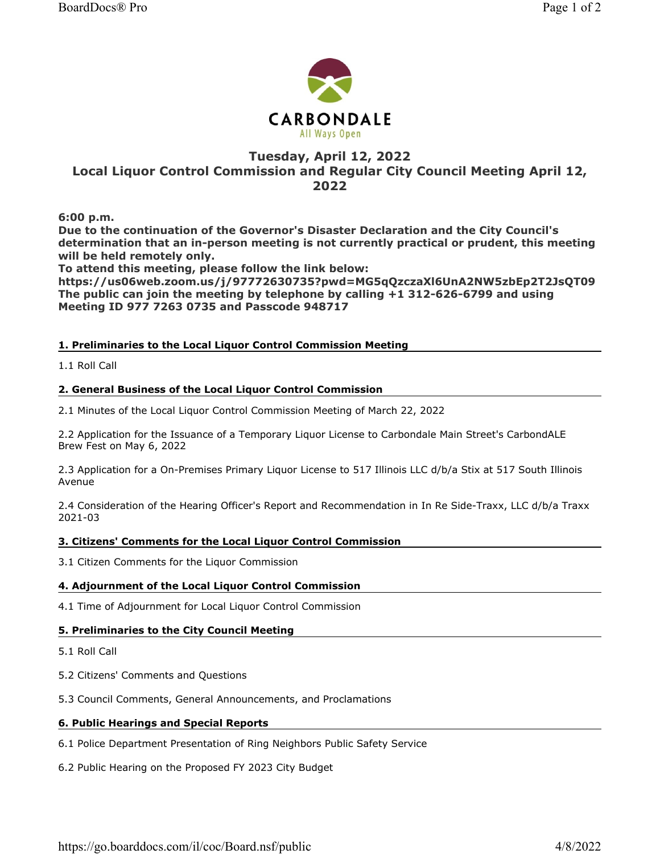



# Tuesday, April 12, 2022 Local Liquor Control Commission and Regular City Council Meeting April 12, 2022

6:00 p.m.

Due to the continuation of the Governor's Disaster Declaration and the City Council's determination that an in-person meeting is not currently practical or prudent, this meeting will be held remotely only.

To attend this meeting, please follow the link below:

https://us06web.zoom.us/j/97772630735?pwd=MG5qQzczaXl6UnA2NW5zbEp2T2JsQT09 The public can join the meeting by telephone by calling +1 312-626-6799 and using Meeting ID 977 7263 0735 and Passcode 948717

# 1. Preliminaries to the Local Liquor Control Commission Meeting

1.1 Roll Call

### 2. General Business of the Local Liquor Control Commission

2.1 Minutes of the Local Liquor Control Commission Meeting of March 22, 2022

2.2 Application for the Issuance of a Temporary Liquor License to Carbondale Main Street's CarbondALE Brew Fest on May 6, 2022

2.3 Application for a On-Premises Primary Liquor License to 517 Illinois LLC d/b/a Stix at 517 South Illinois Avenue

2.4 Consideration of the Hearing Officer's Report and Recommendation in In Re Side-Traxx, LLC d/b/a Traxx 2021-03

### 3. Citizens' Comments for the Local Liquor Control Commission

3.1 Citizen Comments for the Liquor Commission

## 4. Adjournment of the Local Liquor Control Commission

4.1 Time of Adjournment for Local Liquor Control Commission

#### 5. Preliminaries to the City Council Meeting

5.1 Roll Call

5.2 Citizens' Comments and Questions

5.3 Council Comments, General Announcements, and Proclamations

#### 6. Public Hearings and Special Reports

6.1 Police Department Presentation of Ring Neighbors Public Safety Service

6.2 Public Hearing on the Proposed FY 2023 City Budget